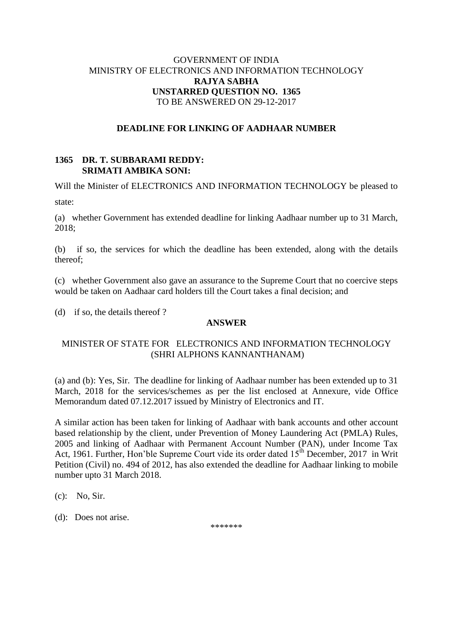# GOVERNMENT OF INDIA MINISTRY OF ELECTRONICS AND INFORMATION TECHNOLOGY **RAJYA SABHA UNSTARRED QUESTION NO. 1365** TO BE ANSWERED ON 29-12-2017

# **DEADLINE FOR LINKING OF AADHAAR NUMBER**

### **1365 DR. T. SUBBARAMI REDDY: SRIMATI AMBIKA SONI:**

Will the Minister of ELECTRONICS AND INFORMATION TECHNOLOGY be pleased to state:

(a) whether Government has extended deadline for linking Aadhaar number up to 31 March, 2018;

(b) if so, the services for which the deadline has been extended, along with the details thereof;

(c) whether Government also gave an assurance to the Supreme Court that no coercive steps would be taken on Aadhaar card holders till the Court takes a final decision; and

(d) if so, the details thereof ?

# **ANSWER**

# MINISTER OF STATE FOR ELECTRONICS AND INFORMATION TECHNOLOGY (SHRI ALPHONS KANNANTHANAM)

(a) and (b): Yes, Sir. The deadline for linking of Aadhaar number has been extended up to 31 March, 2018 for the services/schemes as per the list enclosed at Annexure, vide Office Memorandum dated 07.12.2017 issued by Ministry of Electronics and IT.

A similar action has been taken for linking of Aadhaar with bank accounts and other account based relationship by the client, under Prevention of Money Laundering Act (PMLA) Rules, 2005 and linking of Aadhaar with Permanent Account Number (PAN), under Income Tax Act, 1961. Further, Hon'ble Supreme Court vide its order dated 15<sup>th</sup> December, 2017 in Writ Petition (Civil) no. 494 of 2012, has also extended the deadline for Aadhaar linking to mobile number upto 31 March 2018.

(c): No, Sir.

(d):Does not arise.

\*\*\*\*\*\*\*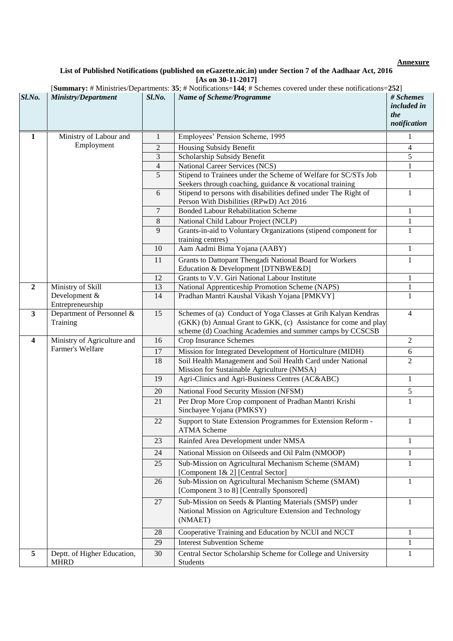# **Annexure**

#### **List of Published Notifications (published on eGazette.nic.in) under Section 7 of the Aadhaar Act, 2016 [As on 30-11-2017]**

|                         |                                                 |                | [Summary: # Ministries/Departments: 35; # Notifications=144; # Schemes covered under these notifications=252]                                                                                |                                                        |
|-------------------------|-------------------------------------------------|----------------|----------------------------------------------------------------------------------------------------------------------------------------------------------------------------------------------|--------------------------------------------------------|
| Sl.No.                  | <b>Ministry/Department</b>                      | Sl.No.         | <b>Name of Scheme/Programme</b>                                                                                                                                                              | # Schemes<br><i>included in</i><br>the<br>notification |
| $\mathbf{1}$            | Ministry of Labour and<br>Employment            | 1              | Employees' Pension Scheme, 1995                                                                                                                                                              |                                                        |
|                         |                                                 | $\overline{2}$ | Housing Subsidy Benefit                                                                                                                                                                      | $\overline{4}$                                         |
|                         |                                                 | 3              | Scholarship Subsidy Benefit                                                                                                                                                                  | 5                                                      |
|                         |                                                 | $\overline{4}$ | <b>National Career Services (NCS)</b>                                                                                                                                                        | 1                                                      |
|                         |                                                 | $\overline{5}$ | Stipend to Trainees under the Scheme of Welfare for SC/STs Job<br>Seekers through coaching, guidance & vocational training                                                                   | 1                                                      |
|                         |                                                 | 6              | Stipend to persons with disabilities defined under The Right of<br>Person With Disbilities (RPwD) Act 2016                                                                                   | $\mathbf{1}$                                           |
|                         |                                                 | 7              | <b>Bonded Labour Rehabilitation Scheme</b>                                                                                                                                                   | 1                                                      |
|                         |                                                 | 8              | National Child Labour Project (NCLP)                                                                                                                                                         | $\mathbf{1}$                                           |
|                         |                                                 | 9              | Grants-in-aid to Voluntary Organizations (stipend component for<br>training centres)                                                                                                         | $\mathbf{1}$                                           |
|                         |                                                 | 10             | Aam Aadmi Bima Yojana (AABY)                                                                                                                                                                 | 1                                                      |
|                         |                                                 | 11             | Grants to Dattopant Thengadi National Board for Workers<br>Education & Development [DTNBWE&D]                                                                                                | 1                                                      |
|                         |                                                 | 12             | Grants to V.V. Giri National Labour Institute                                                                                                                                                | 1                                                      |
| $\overline{2}$          | Ministry of Skill                               | 13             | National Apprenticeship Promotion Scheme (NAPS)                                                                                                                                              | $\,1$                                                  |
|                         | Development &<br>Entrepreneurship               | 14             | Pradhan Mantri Kaushal Vikash Yojana [PMKVY]                                                                                                                                                 | $\mathbf{1}$                                           |
| $\mathbf{3}$            | Department of Personnel &<br>Training           | 15             | Schemes of (a) Conduct of Yoga Classes at Grih Kalyan Kendras<br>(GKK) (b) Annual Grant to GKK, (c) Assistance for come and play<br>scheme (d) Coaching Academies and summer camps by CCSCSB | $\overline{4}$                                         |
| $\overline{\mathbf{4}}$ | Ministry of Agriculture and<br>Farmer's Welfare | 16             | Crop Insurance Schemes                                                                                                                                                                       | $\overline{2}$                                         |
|                         |                                                 | 17             | Mission for Integrated Development of Horticulture (MIDH)                                                                                                                                    | 6                                                      |
|                         |                                                 | 18             | Soil Health Management and Soil Health Card under National<br>Mission for Sustainable Agriculture (NMSA)                                                                                     | 2                                                      |
|                         |                                                 | 19             | Agri-Clinics and Agri-Business Centres (AC&ABC)                                                                                                                                              | 1                                                      |
|                         |                                                 | 20             | National Food Security Mission (NFSM)                                                                                                                                                        | $\sqrt{5}$                                             |
|                         |                                                 | 21             | Per Drop More Crop component of Pradhan Mantri Krishi<br>Sinchayee Yojana (PMKSY)                                                                                                            | 1                                                      |
|                         |                                                 | 22             | Support to State Extension Programmes for Extension Reform -<br><b>ATMA Scheme</b>                                                                                                           | $\mathbf{1}$                                           |
|                         |                                                 | 23             | Rainfed Area Development under NMSA                                                                                                                                                          | 1                                                      |
|                         |                                                 | 24             | National Mission on Oilseeds and Oil Palm (NMOOP)                                                                                                                                            | 1                                                      |
|                         |                                                 | 25             | Sub-Mission on Agricultural Mechanism Scheme (SMAM)<br>[Component 1& 2] [Central Sector]                                                                                                     | 1                                                      |
|                         |                                                 | 26             | Sub-Mission on Agricultural Mechanism Scheme (SMAM)<br>[Component 3 to 8] [Centrally Sponsored]                                                                                              | 1                                                      |
|                         |                                                 | 27             | Sub-Mission on Seeds & Planting Materials (SMSP) under<br>National Mission on Agriculture Extension and Technology<br>(NMAET)                                                                | 1                                                      |
|                         |                                                 | 28             | Cooperative Training and Education by NCUI and NCCT                                                                                                                                          | 1                                                      |
|                         |                                                 | 29             | <b>Interest Subvention Scheme</b>                                                                                                                                                            | 1                                                      |
| 5                       | Deptt. of Higher Education,<br><b>MHRD</b>      | 30             | Central Sector Scholarship Scheme for College and University<br>Students                                                                                                                     | 1                                                      |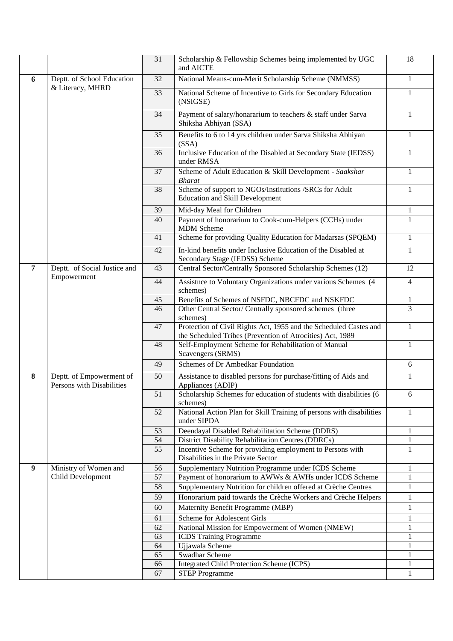|   |                                                       | 31       | Scholarship & Fellowship Schemes being implemented by UGC<br>and AICTE                                                                                | 18                           |
|---|-------------------------------------------------------|----------|-------------------------------------------------------------------------------------------------------------------------------------------------------|------------------------------|
| 6 | Deptt. of School Education                            | 32       | National Means-cum-Merit Scholarship Scheme (NMMSS)                                                                                                   | $\mathbf{1}$                 |
|   | & Literacy, MHRD                                      | 33       | National Scheme of Incentive to Girls for Secondary Education<br>(NSIGSE)                                                                             | 1                            |
|   |                                                       | 34       | Payment of salary/honararium to teachers & staff under Sarva<br>Shiksha Abhiyan (SSA)                                                                 | 1                            |
|   |                                                       | 35       | Benefits to 6 to 14 yrs children under Sarva Shiksha Abhiyan<br>(SSA)                                                                                 | 1                            |
|   |                                                       | 36       | Inclusive Education of the Disabled at Secondary State (IEDSS)<br>under RMSA                                                                          | 1                            |
|   |                                                       | 37       | Scheme of Adult Education & Skill Development - Saakshar<br><b>Bharat</b>                                                                             | $\mathbf{1}$                 |
|   |                                                       | 38       | Scheme of support to NGOs/Institutions /SRCs for Adult<br><b>Education and Skill Development</b>                                                      | $\mathbf{1}$                 |
|   |                                                       | 39       | Mid-day Meal for Children                                                                                                                             | $\mathbf{1}$                 |
|   |                                                       | 40       | Payment of honorarium to Cook-cum-Helpers (CCHs) under<br><b>MDM</b> Scheme                                                                           | $\mathbf{1}$                 |
|   |                                                       | 41       | Scheme for providing Quality Education for Madarsas (SPQEM)                                                                                           | $\mathbf{1}$                 |
|   |                                                       | 42       | In-kind benefits under Inclusive Education of the Disabled at<br>Secondary Stage (IEDSS) Scheme                                                       | $\mathbf{1}$                 |
| 7 | Deptt. of Social Justice and                          | 43       | Central Sector/Centrally Sponsored Scholarship Schemes (12)                                                                                           | 12                           |
|   | Empowerment                                           | 44       | Assistnce to Voluntary Organizations under various Schemes (4<br>schemes)                                                                             | $\overline{4}$               |
|   |                                                       | 45       | Benefits of Schemes of NSFDC, NBCFDC and NSKFDC                                                                                                       | $\mathbf{1}$                 |
|   |                                                       | 46       | Other Central Sector/ Centrally sponsored schemes (three<br>schemes)                                                                                  | $\overline{3}$               |
|   |                                                       | 47       | Protection of Civil Rights Act, 1955 and the Scheduled Castes and<br>the Scheduled Tribes (Prevention of Atrocities) Act, 1989                        | $\mathbf{1}$                 |
|   |                                                       | 48       | Self-Employment Scheme for Rehabilitation of Manual<br>Scavengers (SRMS)                                                                              | $\mathbf{1}$                 |
|   |                                                       | 49       | Schemes of Dr Ambedkar Foundation                                                                                                                     | 6                            |
| 8 | Deptt. of Empowerment of<br>Persons with Disabilities | 50       | Assistance to disabled persons for purchase/fitting of Aids and<br>Appliances (ADIP)                                                                  | 1                            |
|   |                                                       | 51       | Scholarship Schemes for education of students with disabilities (6<br>schemes)                                                                        | 6                            |
|   |                                                       | 52       | National Action Plan for Skill Training of persons with disabilities<br>under SIPDA                                                                   | 1                            |
|   |                                                       | 53       | Deendayal Disabled Rehabilitation Scheme (DDRS)                                                                                                       | $\mathbf{1}$                 |
|   |                                                       | 54<br>55 | District Disability Rehabilitation Centres (DDRCs)<br>Incentive Scheme for providing employment to Persons with<br>Disabilities in the Private Sector | $\mathbf{1}$<br>$\mathbf{1}$ |
| 9 | Ministry of Women and                                 | 56       | Supplementary Nutrition Programme under ICDS Scheme                                                                                                   | 1                            |
|   | Child Development                                     | 57       | Payment of honorarium to AWWs & AWHs under ICDS Scheme                                                                                                | $\mathbf{1}$                 |
|   |                                                       | 58       | Supplementary Nutrition for children offered at Crèche Centres                                                                                        | $\mathbf{1}$                 |
|   |                                                       | 59       | Honorarium paid towards the Crèche Workers and Crèche Helpers                                                                                         | $\mathbf{1}$                 |
|   |                                                       | 60       | Maternity Benefit Programme (MBP)                                                                                                                     | $\mathbf{1}$                 |
|   |                                                       | 61       | <b>Scheme for Adolescent Girls</b>                                                                                                                    | 1                            |
|   |                                                       | 62       | National Mission for Empowerment of Women (NMEW)                                                                                                      | $\mathbf{1}$                 |
|   |                                                       | 63       | <b>ICDS</b> Training Programme                                                                                                                        | $\mathbf{1}$                 |
|   |                                                       | 64<br>65 | Ujjawala Scheme<br>Swadhar Scheme                                                                                                                     | 1<br>1                       |
|   |                                                       | 66       | Integrated Child Protection Scheme (ICPS)                                                                                                             | 1                            |
|   |                                                       | 67       | <b>STEP Programme</b>                                                                                                                                 | $\mathbf{1}$                 |
|   |                                                       |          |                                                                                                                                                       |                              |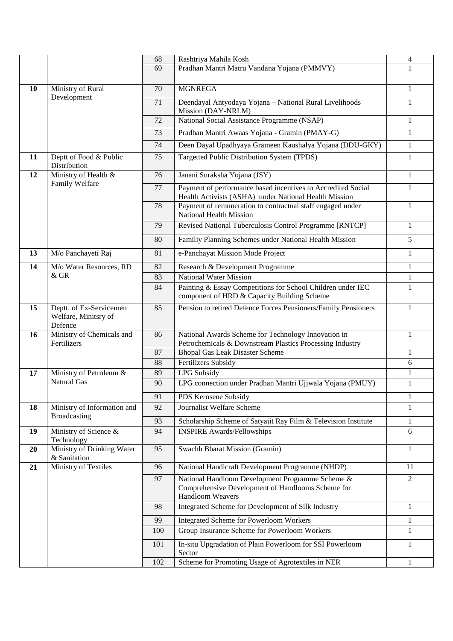|    |                                                            | 68  | Rashtriya Mahila Kosh                                                                                                 | 4              |
|----|------------------------------------------------------------|-----|-----------------------------------------------------------------------------------------------------------------------|----------------|
|    |                                                            | 69  | Pradhan Mantri Matru Vandana Yojana (PMMVY)                                                                           | 1              |
|    |                                                            |     |                                                                                                                       |                |
| 10 | Ministry of Rural<br>Development                           | 70  | <b>MGNREGA</b>                                                                                                        | 1              |
|    |                                                            | 71  | Deendayal Antyodaya Yojana - National Rural Livelihoods<br>Mission (DAY-NRLM)                                         | 1              |
|    |                                                            | 72  | National Social Assistance Programme (NSAP)                                                                           | $\mathbf{1}$   |
|    |                                                            | 73  | Pradhan Mantri Awaas Yojana - Gramin (PMAY-G)                                                                         | 1              |
|    |                                                            | 74  | Deen Dayal Upadhyaya Grameen Kaushalya Yojana (DDU-GKY)                                                               | $\mathbf{1}$   |
| 11 | Deptt of Food & Public<br>Distribution                     | 75  | Targetted Public Distribution System (TPDS)                                                                           | $\mathbf{1}$   |
| 12 | Ministry of Health &<br>Family Welfare                     | 76  | Janani Suraksha Yojana (JSY)                                                                                          | 1              |
|    |                                                            | 77  | Payment of performance based incentives to Accredited Social<br>Health Activists (ASHA) under National Health Mission | 1              |
|    |                                                            | 78  | Payment of remuneration to contractual staff engaged under<br>National Health Mission                                 | 1              |
|    |                                                            | 79  | Revised National Tuberculosis Control Programme [RNTCP]                                                               | 1              |
|    |                                                            | 80  | Familiy Planning Schemes under National Health Mission                                                                | 5              |
| 13 | M/o Panchayeti Raj                                         | 81  | e-Panchayat Mission Mode Project                                                                                      | 1              |
| 14 | M/o Water Resources, RD                                    | 82  | Research & Development Programme                                                                                      | 1              |
|    | $&$ GR                                                     | 83  | <b>National Water Mission</b>                                                                                         | $\mathbf{1}$   |
|    |                                                            | 84  | Painting & Essay Competitions for School Children under IEC<br>component of HRD & Capacity Building Scheme            | 1              |
| 15 | Deptt. of Ex-Servicemen<br>Welfare, Minitsry of<br>Defence | 85  | Pension to retired Defence Forces Pensioners/Family Pensioners                                                        | 1              |
| 16 | Ministry of Chemicals and<br>Fertilizers                   | 86  | National Awards Scheme for Technology Innovation in<br>Petrochemicals & Downstream Plastics Processing Industry       | $\mathbf{1}$   |
|    |                                                            | 87  | <b>Bhopal Gas Leak Disaster Scheme</b>                                                                                | 1              |
|    |                                                            | 88  | <b>Fertilizers Subsidy</b>                                                                                            | 6              |
| 17 | Ministry of Petroleum &                                    | 89  | LPG Subsidy                                                                                                           | $\mathbf{1}$   |
|    | <b>Natural Gas</b>                                         | 90  | LPG connection under Pradhan Mantri Ujjwala Yojana (PMUY)                                                             | $\mathbf{1}$   |
|    |                                                            | 91  | PDS Kerosene Subsidy                                                                                                  | $\mathbf{I}$   |
| 18 | Ministry of Information and                                | 92  | Journalist Welfare Scheme                                                                                             | 1              |
|    | Broadcasting                                               | 93  | Scholarship Scheme of Satyajit Ray Film & Television Institute                                                        | 1              |
| 19 | Ministry of Science &<br>Technology                        | 94  | <b>INSPIRE Awards/Fellowships</b>                                                                                     | 6              |
| 20 | Ministry of Drinking Water<br>& Sanitation                 | 95  | Swachh Bharat Mission (Gramin)                                                                                        | $\mathbf{1}$   |
| 21 | Ministry of Textiles                                       | 96  | National Handicraft Development Programme (NHDP)                                                                      | 11             |
|    |                                                            | 97  | National Handloom Development Programme Scheme &                                                                      | $\overline{2}$ |
|    |                                                            |     | Comprehensive Development of Handlooms Scheme for<br>Handloom Weavers                                                 |                |
|    |                                                            | 98  | Integrated Scheme for Development of Silk Industry                                                                    | 1              |
|    |                                                            | 99  | <b>Integrated Scheme for Powerloom Workers</b>                                                                        | 1              |
|    |                                                            | 100 | Group Insurance Scheme for Powerloom Workers                                                                          | $\mathbf{1}$   |
|    |                                                            | 101 | In-situ Upgradation of Plain Powerloom for SSI Powerloom<br>Sector                                                    | 1              |
|    |                                                            | 102 | Scheme for Promoting Usage of Agrotextiles in NER                                                                     | 1              |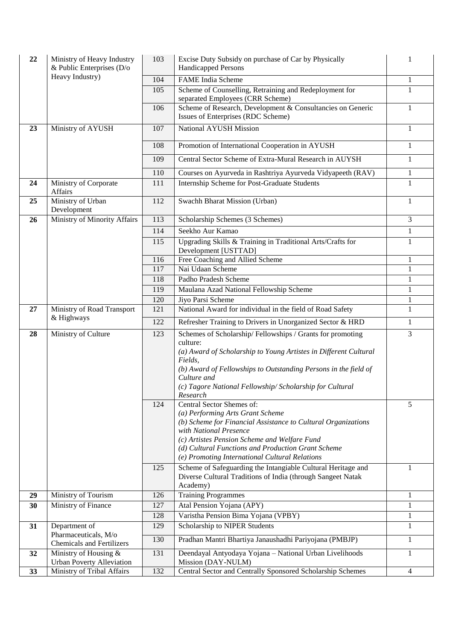| 22 | Ministry of Heavy Industry<br>$&$ Public Enterprises (D/o | 103        | Excise Duty Subsidy on purchase of Car by Physically<br>Handicapped Persons                          | 1                 |
|----|-----------------------------------------------------------|------------|------------------------------------------------------------------------------------------------------|-------------------|
|    | Heavy Industry)                                           | 104        | <b>FAME</b> India Scheme                                                                             | $\mathbf{1}$      |
|    |                                                           | 105        | Scheme of Counselling, Retraining and Redeployment for                                               | $\mathbf{1}$      |
|    |                                                           |            | separated Employees (CRR Scheme)                                                                     |                   |
|    |                                                           | 106        | Scheme of Research, Development & Consultancies on Generic<br>Issues of Enterprises (RDC Scheme)     | $\mathbf{1}$      |
| 23 | Ministry of AYUSH                                         | 107        | National AYUSH Mission                                                                               | $\mathbf{1}$      |
|    |                                                           | 108        | Promotion of International Cooperation in AYUSH                                                      | $\mathbf{1}$      |
|    |                                                           | 109        | Central Sector Scheme of Extra-Mural Research in AUYSH                                               | $\mathbf{1}$      |
|    |                                                           | 110        | Courses on Ayurveda in Rashtriya Ayurveda Vidyapeeth (RAV)                                           | $\mathbf{1}$      |
| 24 | Ministry of Corporate<br>Affairs                          | 111        | Internship Scheme for Post-Graduate Students                                                         | $\mathbf{1}$      |
| 25 | Ministry of Urban<br>Development                          | 112        | Swachh Bharat Mission (Urban)                                                                        | $\mathbf{1}$      |
| 26 | Ministry of Minority Affairs                              | 113        | Scholarship Schemes (3 Schemes)                                                                      | 3                 |
|    |                                                           | 114        | Seekho Aur Kamao                                                                                     | $\mathbf{1}$      |
|    |                                                           | 115        | Upgrading Skills & Training in Traditional Arts/Crafts for                                           | $\mathbf{1}$      |
|    |                                                           |            | Development [USTTAD]                                                                                 |                   |
|    |                                                           | 116<br>117 | Free Coaching and Allied Scheme<br>Nai Udaan Scheme                                                  | 1<br>$\mathbf{1}$ |
|    |                                                           | 118        | Padho Pradesh Scheme                                                                                 | $\mathbf{1}$      |
|    |                                                           | 119        | Maulana Azad National Fellowship Scheme                                                              | $\mathbf{1}$      |
|    |                                                           | 120        | Jiyo Parsi Scheme                                                                                    | $\mathbf{1}$      |
| 27 | Ministry of Road Transport                                | 121        | National Award for individual in the field of Road Safety                                            | $\mathbf{1}$      |
|    | & Highways                                                | 122        | Refresher Training to Drivers in Unorganized Sector & HRD                                            | $\mathbf{1}$      |
| 28 | Ministry of Culture                                       | 123        | Schemes of Scholarship/Fellowships / Grants for promoting                                            | 3                 |
|    |                                                           |            | culture:                                                                                             |                   |
|    |                                                           |            | (a) Award of Scholarship to Young Artistes in Different Cultural<br>Fields,                          |                   |
|    |                                                           |            | (b) Award of Fellowships to Outstanding Persons in the field of                                      |                   |
|    |                                                           |            | Culture and                                                                                          |                   |
|    |                                                           |            | (c) Tagore National Fellowship/ Scholarship for Cultural                                             |                   |
|    |                                                           | 124        | Research<br>Central Sector Shemes of:                                                                | 5                 |
|    |                                                           |            | (a) Performing Arts Grant Scheme                                                                     |                   |
|    |                                                           |            | (b) Scheme for Financial Assistance to Cultural Organizations                                        |                   |
|    |                                                           |            | with National Presence                                                                               |                   |
|    |                                                           |            | (c) Artistes Pension Scheme and Welfare Fund                                                         |                   |
|    |                                                           |            | (d) Cultural Functions and Production Grant Scheme<br>(e) Promoting International Cultural Relations |                   |
|    |                                                           | 125        | Scheme of Safeguarding the Intangiable Cultural Heritage and                                         | 1                 |
|    |                                                           |            | Diverse Cultural Traditions of India (through Sangeet Natak                                          |                   |
|    |                                                           |            | Academy)                                                                                             |                   |
| 29 | Ministry of Tourism                                       | 126        | <b>Training Programmes</b>                                                                           | 1                 |
| 30 | Ministry of Finance                                       | 127        | Atal Pension Yojana (APY)                                                                            | $\mathbf{1}$      |
|    |                                                           | 128        | Varistha Pension Bima Yojana (VPBY)                                                                  | $\mathbf{1}$      |
| 31 | Department of                                             | 129        | Scholarship to NIPER Students                                                                        | $\mathbf{1}$      |
|    | Pharmaceuticals, M/o<br><b>Chemicals and Fertilizers</b>  | 130        | Pradhan Mantri Bhartiya Janaushadhi Pariyojana (PMBJP)                                               | $\mathbf{1}$      |
| 32 | Ministry of Housing &                                     | 131        | Deendayal Antyodaya Yojana - National Urban Livelihoods                                              | 1                 |
|    | <b>Urban Poverty Alleviation</b>                          |            | Mission (DAY-NULM)                                                                                   |                   |
| 33 | Ministry of Tribal Affairs                                | 132        | Central Sector and Centrally Sponsored Scholarship Schemes                                           | 4                 |